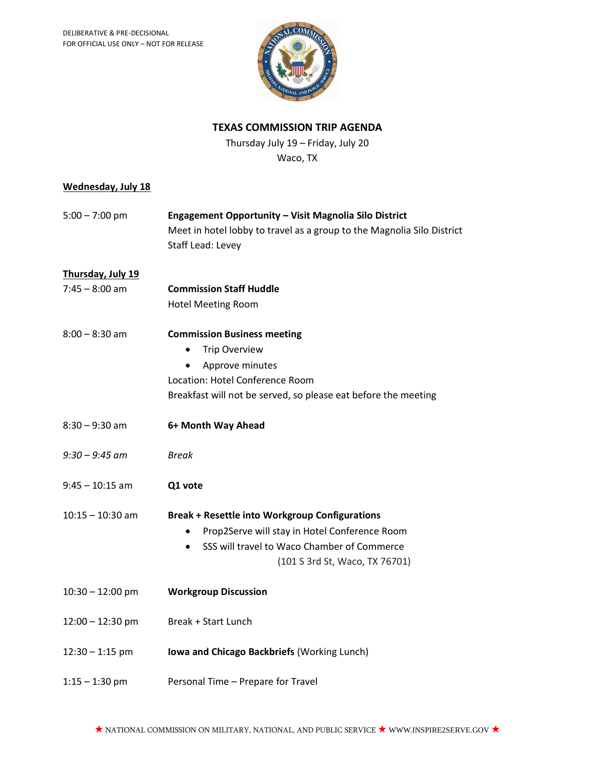

### **TEXAS COMMISSION TRIP AGENDA**

Thursday July 19 – Friday, July 20 Waco, TX

#### **Wednesday, July 18**

| $5:00 - 7:00$ pm | Engagement Opportunity – Visit Magnolia Silo District                  |  |
|------------------|------------------------------------------------------------------------|--|
|                  | Meet in hotel lobby to travel as a group to the Magnolia Silo District |  |
|                  | Staff Lead: Levey                                                      |  |
|                  |                                                                        |  |

## **Thursday, July 19**

7:45 – 8:00 am **Commission Staff Huddle** Hotel Meeting Room

| $8:00 - 8:30$ am   | <b>Commission Business meeting</b><br><b>Trip Overview</b><br>Approve minutes<br>Location: Hotel Conference Room<br>Breakfast will not be served, so please eat before the meeting      |
|--------------------|-----------------------------------------------------------------------------------------------------------------------------------------------------------------------------------------|
| $8:30 - 9:30$ am   | 6+ Month Way Ahead                                                                                                                                                                      |
| $9:30 - 9:45$ am   | <b>Break</b>                                                                                                                                                                            |
| $9:45 - 10:15$ am  | Q1 vote                                                                                                                                                                                 |
| $10:15 - 10:30$ am | <b>Break + Resettle into Workgroup Configurations</b><br>Prop2Serve will stay in Hotel Conference Room<br>SSS will travel to Waco Chamber of Commerce<br>(101 S 3rd St, Waco, TX 76701) |
| $10:30 - 12:00$ pm | <b>Workgroup Discussion</b>                                                                                                                                                             |
| $12:00 - 12:30$ pm | Break + Start Lunch                                                                                                                                                                     |
| $12:30 - 1:15$ pm  | Iowa and Chicago Backbriefs (Working Lunch)                                                                                                                                             |
| $1:15 - 1:30$ pm   | Personal Time - Prepare for Travel                                                                                                                                                      |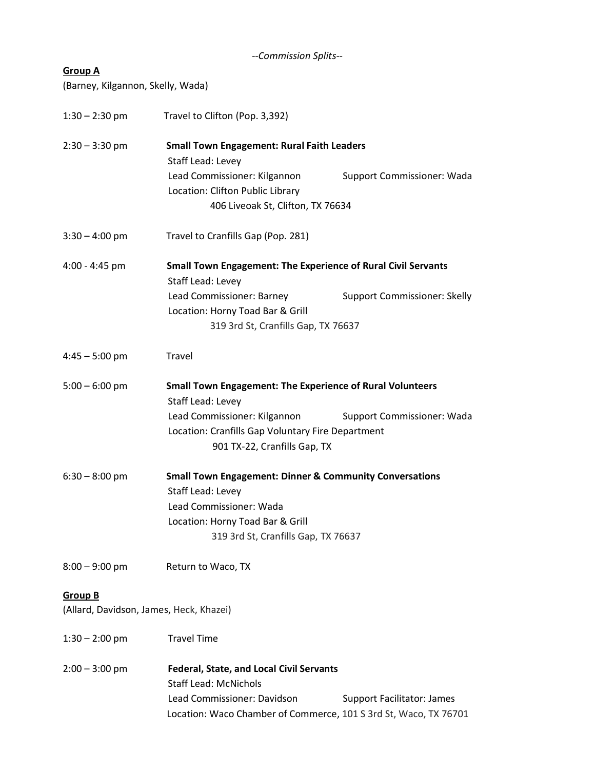| --Commission Splits-- |  |
|-----------------------|--|
|                       |  |

# **Group A**

(Barney, Kilgannon, Skelly, Wada)

| $1:30 - 2:30$ pm                        | Travel to Clifton (Pop. 3,392)                                                            |                                     |  |
|-----------------------------------------|-------------------------------------------------------------------------------------------|-------------------------------------|--|
| $2:30 - 3:30$ pm                        | <b>Small Town Engagement: Rural Faith Leaders</b>                                         |                                     |  |
|                                         | Staff Lead: Levey                                                                         |                                     |  |
|                                         | Lead Commissioner: Kilgannon                                                              | <b>Support Commissioner: Wada</b>   |  |
|                                         | Location: Clifton Public Library                                                          |                                     |  |
|                                         | 406 Liveoak St, Clifton, TX 76634                                                         |                                     |  |
| $3:30 - 4:00$ pm                        | Travel to Cranfills Gap (Pop. 281)                                                        |                                     |  |
| $4:00 - 4:45$ pm                        | <b>Small Town Engagement: The Experience of Rural Civil Servants</b><br>Staff Lead: Levey |                                     |  |
|                                         | Lead Commissioner: Barney                                                                 | <b>Support Commissioner: Skelly</b> |  |
|                                         | Location: Horny Toad Bar & Grill                                                          |                                     |  |
|                                         | 319 3rd St, Cranfills Gap, TX 76637                                                       |                                     |  |
|                                         |                                                                                           |                                     |  |
| $4:45 - 5:00$ pm                        | Travel                                                                                    |                                     |  |
| $5:00 - 6:00$ pm                        | <b>Small Town Engagement: The Experience of Rural Volunteers</b>                          |                                     |  |
|                                         | Staff Lead: Levey                                                                         |                                     |  |
|                                         | Lead Commissioner: Kilgannon                                                              | Support Commissioner: Wada          |  |
|                                         | Location: Cranfills Gap Voluntary Fire Department                                         |                                     |  |
|                                         | 901 TX-22, Cranfills Gap, TX                                                              |                                     |  |
| $6:30 - 8:00$ pm                        | <b>Small Town Engagement: Dinner &amp; Community Conversations</b>                        |                                     |  |
|                                         | Staff Lead: Levey                                                                         |                                     |  |
|                                         | Lead Commissioner: Wada                                                                   |                                     |  |
|                                         | Location: Horny Toad Bar & Grill                                                          |                                     |  |
|                                         | 319 3rd St, Cranfills Gap, TX 76637                                                       |                                     |  |
| $8:00 - 9:00$ pm                        | Return to Waco, TX                                                                        |                                     |  |
| <b>Group B</b>                          |                                                                                           |                                     |  |
| (Allard, Davidson, James, Heck, Khazei) |                                                                                           |                                     |  |
| $1:30 - 2:00$ pm                        | <b>Travel Time</b>                                                                        |                                     |  |
| $2:00 - 3:00$ pm                        | <b>Federal, State, and Local Civil Servants</b>                                           |                                     |  |
|                                         | <b>Staff Lead: McNichols</b>                                                              |                                     |  |
|                                         | Lead Commissioner: Davidson                                                               | <b>Support Facilitator: James</b>   |  |
|                                         | Location: Waco Chamber of Commerce, 101 S 3rd St, Waco, TX 76701                          |                                     |  |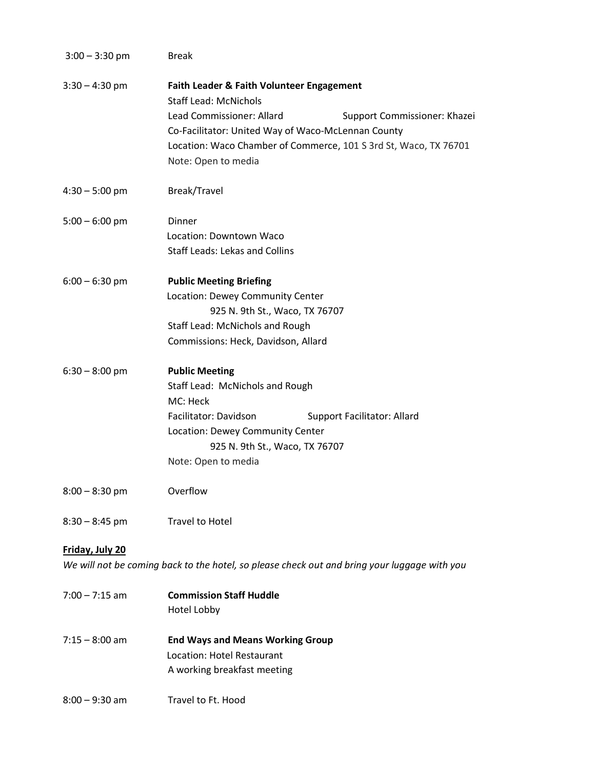| $3:00 - 3:30$ pm | <b>Break</b>                                                                                                                                                                                                                                                                            |
|------------------|-----------------------------------------------------------------------------------------------------------------------------------------------------------------------------------------------------------------------------------------------------------------------------------------|
| $3:30 - 4:30$ pm | Faith Leader & Faith Volunteer Engagement<br><b>Staff Lead: McNichols</b><br>Lead Commissioner: Allard<br>Support Commissioner: Khazei<br>Co-Facilitator: United Way of Waco-McLennan County<br>Location: Waco Chamber of Commerce, 101 S 3rd St, Waco, TX 76701<br>Note: Open to media |
| $4:30 - 5:00$ pm | Break/Travel                                                                                                                                                                                                                                                                            |
| $5:00 - 6:00$ pm | Dinner<br>Location: Downtown Waco<br><b>Staff Leads: Lekas and Collins</b>                                                                                                                                                                                                              |
| $6:00 - 6:30$ pm | <b>Public Meeting Briefing</b><br>Location: Dewey Community Center<br>925 N. 9th St., Waco, TX 76707<br>Staff Lead: McNichols and Rough<br>Commissions: Heck, Davidson, Allard                                                                                                          |
| $6:30 - 8:00$ pm | <b>Public Meeting</b><br>Staff Lead: McNichols and Rough<br>MC: Heck<br>Facilitator: Davidson<br><b>Support Facilitator: Allard</b><br>Location: Dewey Community Center<br>925 N. 9th St., Waco, TX 76707<br>Note: Open to media                                                        |
| $8:00 - 8:30$ pm | Overflow                                                                                                                                                                                                                                                                                |
| $8:30 - 8:45$ pm | <b>Travel to Hotel</b>                                                                                                                                                                                                                                                                  |
| Friday, July 20  | We will not be coming back to the hotel, so please check out and bring your luggage with you                                                                                                                                                                                            |
| $7:00 - 7:15$ am | <b>Commission Staff Huddle</b><br>Hotel Lobby                                                                                                                                                                                                                                           |
| $7:15 - 8:00$ am | <b>End Ways and Means Working Group</b><br>Location: Hotel Restaurant<br>A working breakfast meeting                                                                                                                                                                                    |
| $8:00 - 9:30$ am | Travel to Ft. Hood                                                                                                                                                                                                                                                                      |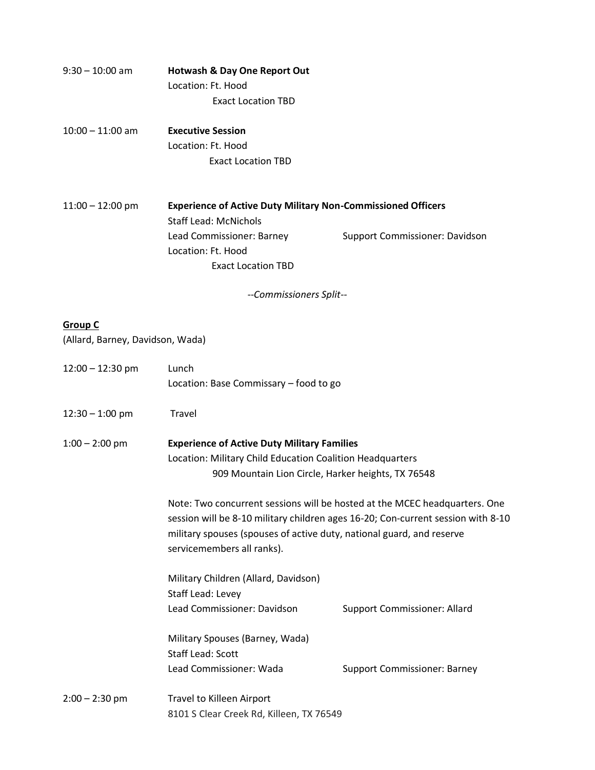| $9:30 - 10:00$ am | <b>Hotwash &amp; Day One Report Out</b> |
|-------------------|-----------------------------------------|
|                   | Location: Ft. Hood                      |
|                   | <b>Exact Location TBD</b>               |

10:00 – 11:00 am **Executive Session** Location: Ft. Hood Exact Location TBD

11:00 – 12:00 pm **Experience of Active Duty Military Non-Commissioned Officers** Staff Lead: McNichols Lead Commissioner: Barney Support Commissioner: Davidson Location: Ft. Hood Exact Location TBD

*--Commissioners Split--*

#### **Group C**

(Allard, Barney, Davidson, Wada)

| $12:00 - 12:30$ pm | Lunch<br>Location: Base Commissary - food to go                                                                                                                                                                                                                       |                                     |
|--------------------|-----------------------------------------------------------------------------------------------------------------------------------------------------------------------------------------------------------------------------------------------------------------------|-------------------------------------|
| $12:30 - 1:00$ pm  | Travel                                                                                                                                                                                                                                                                |                                     |
| $1:00 - 2:00$ pm   | <b>Experience of Active Duty Military Families</b><br>Location: Military Child Education Coalition Headquarters<br>909 Mountain Lion Circle, Harker heights, TX 76548                                                                                                 |                                     |
|                    | Note: Two concurrent sessions will be hosted at the MCEC headquarters. One<br>session will be 8-10 military children ages 16-20; Con-current session with 8-10<br>military spouses (spouses of active duty, national guard, and reserve<br>servicemembers all ranks). |                                     |
|                    | Military Children (Allard, Davidson)<br>Staff Lead: Levey<br>Lead Commissioner: Davidson                                                                                                                                                                              | <b>Support Commissioner: Allard</b> |
|                    | Military Spouses (Barney, Wada)<br><b>Staff Lead: Scott</b><br>Lead Commissioner: Wada                                                                                                                                                                                | <b>Support Commissioner: Barney</b> |
| $2:00 - 2:30$ pm   | Travel to Killeen Airport<br>8101 S Clear Creek Rd, Killeen, TX 76549                                                                                                                                                                                                 |                                     |